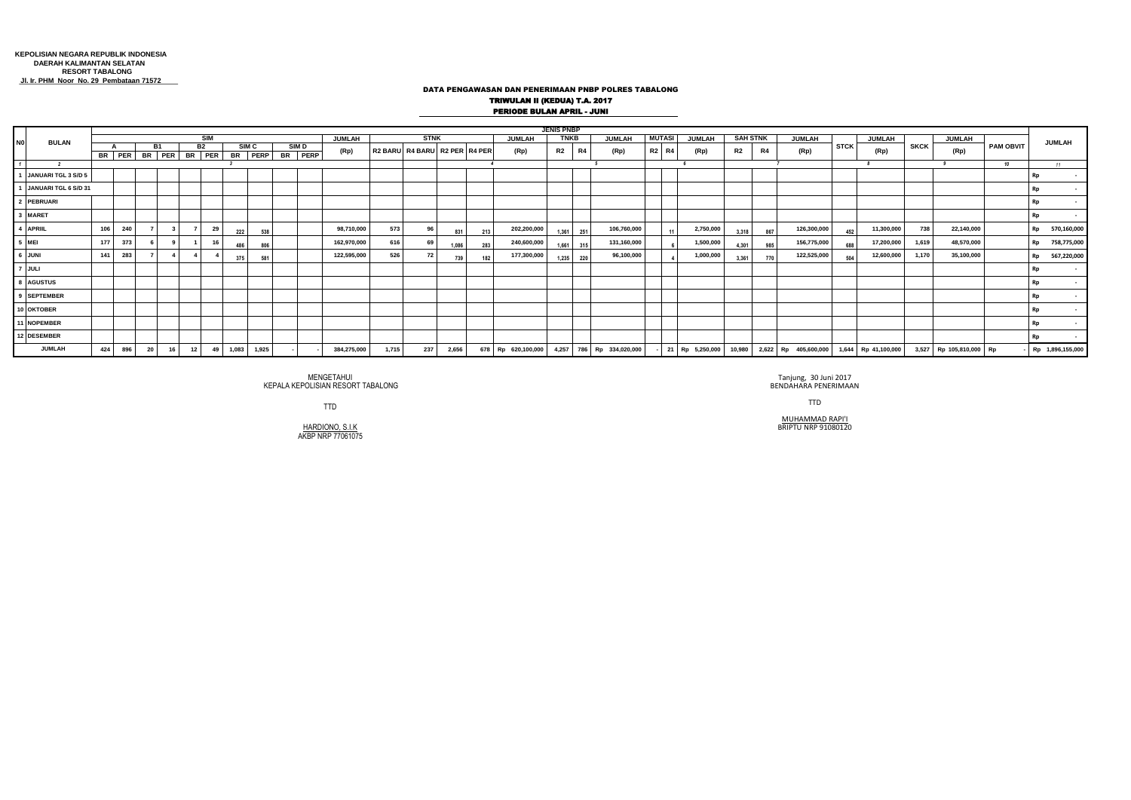## DATA PENGAWASAN DAN PENERIMAAN PNBP POLRES TABALONG TRIWULAN II (KEDUA) T.A. 2017 PERIODE BULAN APRIL - JUNI

| N <sub>0</sub>           | <b>BULAN</b>         |            |     |    |           |    |                                   |       |                             |        |                             |             |       |                               |                       |     |                                                                      | <b>JENIS PNBP</b> |                                |             |                 |       |           |           |           |                                                                  |             |            |             |            |                  |                          |
|--------------------------|----------------------|------------|-----|----|-----------|----|-----------------------------------|-------|-----------------------------|--------|-----------------------------|-------------|-------|-------------------------------|-----------------------|-----|----------------------------------------------------------------------|-------------------|--------------------------------|-------------|-----------------|-------|-----------|-----------|-----------|------------------------------------------------------------------|-------------|------------|-------------|------------|------------------|--------------------------|
|                          |                      | <b>SIM</b> |     |    |           |    |                                   |       |                             | JUMLAH |                             | <b>STNK</b> |       |                               | TNKB<br><b>JUMLAH</b> |     |                                                                      | <b>JUMLAH</b>     | <b>MUTASI</b><br><b>JUMLAH</b> |             | <b>SAH STNK</b> |       | JUMLAH    |           | JUMLAH    |                                                                  | JUMLAH      |            | JUMLAH      |            |                  |                          |
|                          |                      |            |     |    | <b>B1</b> |    | <b>B2</b><br>BR PER BR PER BR PER |       | SIM <sub>C</sub><br>BR PERP |        | SIM <sub>D</sub><br>BR PERP | (Rp)        |       | R2 BARU R4 BARU R2 PER R4 PER |                       |     | (Rp)                                                                 | R2                | R4                             | (Rp)        |                 | R2 R4 | (Rp)      | <b>R2</b> | <b>R4</b> | (Rp)                                                             | <b>STCK</b> | (Rp)       | <b>SKCK</b> | (Rp)       | <b>PAM OBVIT</b> |                          |
| $\overline{\phantom{a}}$ |                      |            |     |    |           |    |                                   |       |                             |        |                             |             |       |                               |                       |     |                                                                      |                   |                                |             |                 |       |           |           |           |                                                                  |             |            |             |            | 10               | 11                       |
|                          | JANUARI TGL 3 S/D 5  |            |     |    |           |    |                                   |       |                             |        |                             |             |       |                               |                       |     |                                                                      |                   |                                |             |                 |       |           |           |           |                                                                  |             |            |             |            |                  |                          |
|                          | JANUARI TGL 6 S/D 31 |            |     |    |           |    |                                   |       |                             |        |                             |             |       |                               |                       |     |                                                                      |                   |                                |             |                 |       |           |           |           |                                                                  |             |            |             |            |                  |                          |
|                          | <b>PEBRUARI</b>      |            |     |    |           |    |                                   |       |                             |        |                             |             |       |                               |                       |     |                                                                      |                   |                                |             |                 |       |           |           |           |                                                                  |             |            |             |            |                  |                          |
| $\overline{\mathbf{3}}$  | <b>MARET</b>         |            |     |    |           |    |                                   |       |                             |        |                             |             |       |                               |                       |     |                                                                      |                   |                                |             |                 |       |           |           |           |                                                                  |             |            |             |            |                  |                          |
|                          | 4 APRIIL             | 106        | 240 |    |           |    | 29                                | 222   |                             | 538    |                             | 98,710,000  | 573   | 96                            | 831                   | 213 | 202,200,000                                                          | 1.361             | 251                            | 106,760,000 |                 |       | 2,750,000 | 3.318     | 867       | 126,300,000                                                      | 452         | 11,300,000 | 738         | 22,140,000 |                  | 570,160,000<br><b>Rp</b> |
| $\overline{\phantom{a}}$ | <b>ME</b>            | 177        | 373 |    |           |    | 16                                | 486   |                             | 806    |                             | 162,970,000 | 616   | -69                           | 1.086                 | 283 | 240,600,000                                                          | 1.661             | 315                            | 131,160,000 |                 |       | 1,500,000 | 4.301     | 98        | 156,775,000                                                      | 688         | 17,200,000 | 1,619       | 48,570,000 |                  | 758,775,000<br><b>Rp</b> |
|                          | 6 JUNI               | 141        | 283 |    |           |    |                                   | 375   |                             | 581    |                             | 122,595,000 | 526   | 72                            | 739                   | 182 | 177,300,000                                                          | 1.235             | 220                            | 96,100,000  |                 |       | 1,000,000 | 3.361     |           | 122,525,000                                                      | 504         | 12,600,000 | 1,170       | 35,100,000 |                  | 567,220,000<br><b>Rp</b> |
|                          | $7$ JULI             |            |     |    |           |    |                                   |       |                             |        |                             |             |       |                               |                       |     |                                                                      |                   |                                |             |                 |       |           |           |           |                                                                  |             |            |             |            |                  |                          |
|                          | <b>AGUSTUS</b>       |            |     |    |           |    |                                   |       |                             |        |                             |             |       |                               |                       |     |                                                                      |                   |                                |             |                 |       |           |           |           |                                                                  |             |            |             |            |                  |                          |
|                          | <b>SEPTEMBER</b>     |            |     |    |           |    |                                   |       |                             |        |                             |             |       |                               |                       |     |                                                                      |                   |                                |             |                 |       |           |           |           |                                                                  |             |            |             |            |                  |                          |
|                          | 10 OKTOBER           |            |     |    |           |    |                                   |       |                             |        |                             |             |       |                               |                       |     |                                                                      |                   |                                |             |                 |       |           |           |           |                                                                  |             |            |             |            |                  |                          |
|                          | <b>NOPEMBER</b>      |            |     |    |           |    |                                   |       |                             |        |                             |             |       |                               |                       |     |                                                                      |                   |                                |             |                 |       |           |           |           |                                                                  |             |            |             |            |                  |                          |
|                          | 12 DESEMBER          |            |     |    |           |    |                                   |       |                             |        |                             |             |       |                               |                       |     |                                                                      |                   |                                |             |                 |       |           |           |           |                                                                  |             |            |             |            |                  |                          |
|                          | <b>JUMLAH</b>        | 424        | 896 | 20 | 16        | 12 | 49                                | 1,083 | 1,925                       |        |                             | 384,275,000 | 1,715 | 237                           | 2,656                 |     | 678 Rp 620,100,000 4,257 786 Rp 334,020,000 - 21 Rp 5,250,000 10,980 |                   |                                |             |                 |       |           |           |           | 2,622 Rp 405,600,000 1,644 Rp 41,100,000 3,527 Rp 105,810,000 Rp |             |            |             |            |                  | - Rp 1,896,155,000       |

MENGETAHUI MENGETAHUI Tanjung, 30 Juni 2017<br>BENDAHARA PENERIMAAN RESORT TABALONG BENDAHARA PENERIMAAN

MUHAMMAD RAPI'I HARDIONO, S.I.K BRIPTU NRP 91080120

TTD TTD

HARDIONO, S.I.K<br>AKBP NRP 77061075